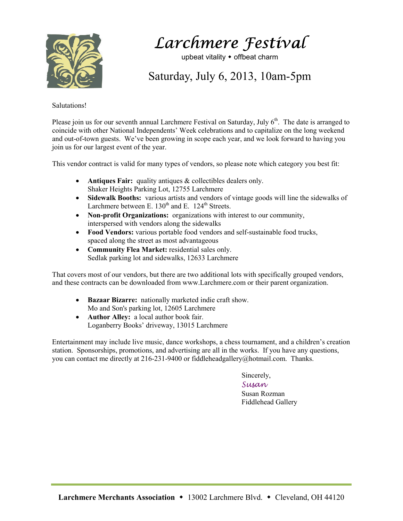

Larchmere Festival

upbeat vitality  $\bullet$  offbeat charm

Saturday, July 6, 2013, 10am-5pm

## Salutations!

Please join us for our seventh annual Larchmere Festival on Saturday, July 6<sup>th</sup>. The date is arranged to coincide with other National Independents' Week celebrations and to capitalize on the long weekend and out-of-town guests. We've been growing in scope each year, and we look forward to having you join us for our largest event of the year.

This vendor contract is valid for many types of vendors, so please note which category you best fit:

- **Antiques Fair:** quality antiques & collectibles dealers only. Shaker Heights Parking Lot, 12755 Larchmere
- **Sidewalk Booths:** various artists and vendors of vintage goods will line the sidewalks of Larchmere between E.  $130<sup>th</sup>$  and E.  $124<sup>th</sup>$  Streets.
- **Non-profit Organizations:** organizations with interest to our community, interspersed with vendors along the sidewalks
- **Food Vendors:** various portable food vendors and self-sustainable food trucks, spaced along the street as most advantageous
- **Community Flea Market:** residential sales only. Sedlak parking lot and sidewalks, 12633 Larchmere

That covers most of our vendors, but there are two additional lots with specifically grouped vendors, and these contracts can be downloaded from www.Larchmere.com or their parent organization.

- **Bazaar Bizarre:** nationally marketed indie craft show. Mo and Son's parking lot, 12605 Larchmere
- **Author Alley:** a local author book fair. Loganberry Books' driveway, 13015 Larchmere

Entertainment may include live music, dance workshops, a chess tournament, and a children's creation station. Sponsorships, promotions, and advertising are all in the works. If you have any questions, you can contact me directly at 216-231-9400 or fiddleheadgallery@hotmail.com. Thanks.

Sincerely,

Susan Susan Rozman Fiddlehead Gallery